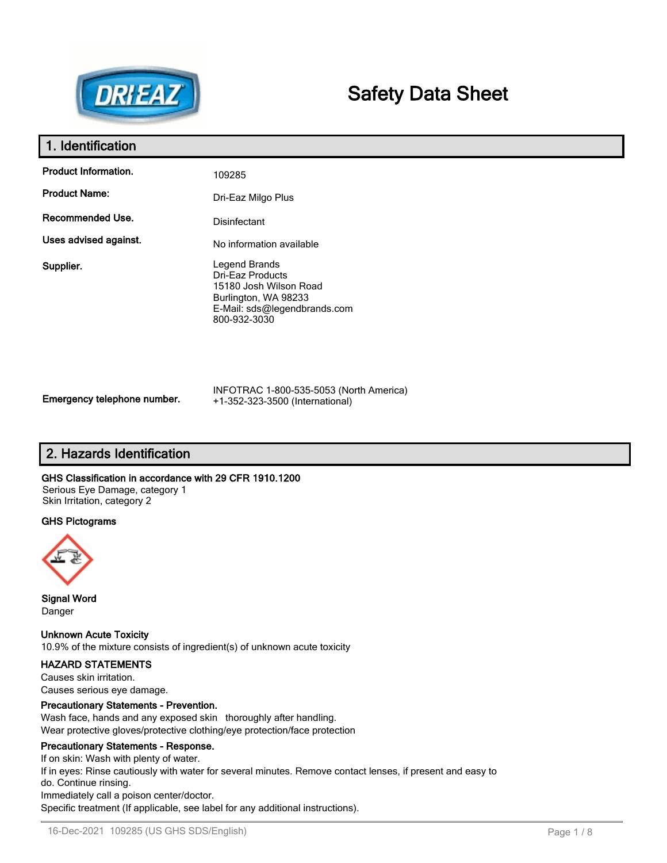

# **Safety Data Sheet**

# **1. Identification**

| <b>Product Information.</b> | 109285                                                                                                                              |
|-----------------------------|-------------------------------------------------------------------------------------------------------------------------------------|
| <b>Product Name:</b>        | Dri-Eaz Milgo Plus                                                                                                                  |
| Recommended Use.            | Disinfectant                                                                                                                        |
| Uses advised against.       | No information available                                                                                                            |
| Supplier.                   | Legend Brands<br>Dri-Eaz Products<br>15180 Josh Wilson Road<br>Burlington, WA 98233<br>E-Mail: sds@legendbrands.com<br>800-932-3030 |

INFOTRAC 1-800-535-5053 (North America) +1-352-323-3500 (International)

# **2. Hazards Identification**

### **GHS Classification in accordance with 29 CFR 1910.1200**

Serious Eye Damage, category 1 Skin Irritation, category 2

### **GHS Pictograms**



**Signal Word** Danger

**Unknown Acute Toxicity** 10.9% of the mixture consists of ingredient(s) of unknown acute toxicity

# **HAZARD STATEMENTS**

Causes skin irritation. Causes serious eye damage.

### **Precautionary Statements - Prevention.**

Wash face, hands and any exposed skin thoroughly after handling. Wear protective gloves/protective clothing/eye protection/face protection

### **Precautionary Statements - Response.**

If on skin: Wash with plenty of water. If in eyes: Rinse cautiously with water for several minutes. Remove contact lenses, if present and easy to do. Continue rinsing. Immediately call a poison center/doctor. Specific treatment (If applicable, see label for any additional instructions).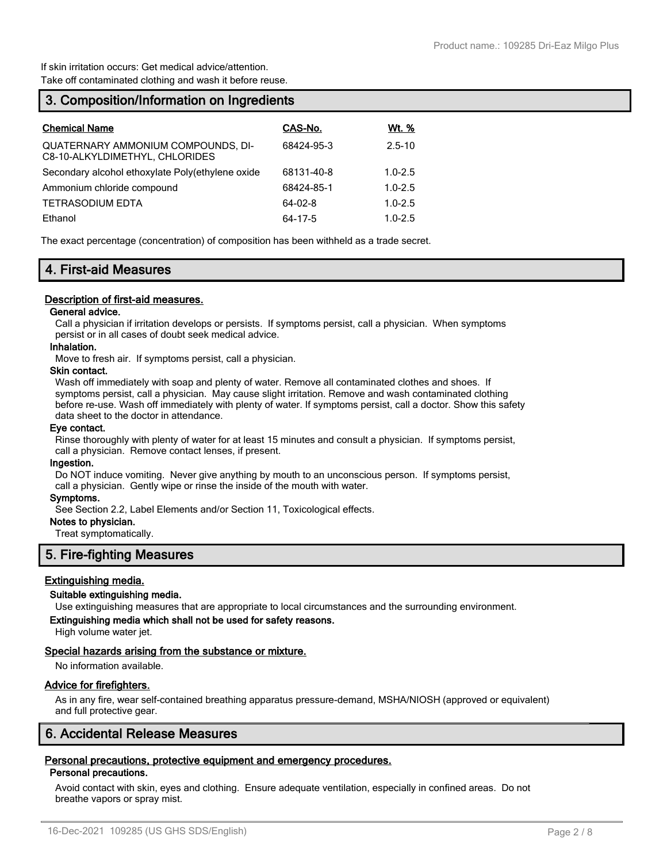If skin irritation occurs: Get medical advice/attention. Take off contaminated clothing and wash it before reuse.

# **3. Composition/Information on Ingredients**

| <b>Chemical Name</b>                                                        | CAS-No.    | <u>Wt. %</u> |
|-----------------------------------------------------------------------------|------------|--------------|
| <b>QUATERNARY AMMONIUM COMPOUNDS, DI-</b><br>C8-10-ALKYLDIMETHYL, CHLORIDES | 68424-95-3 | $2.5 - 10$   |
| Secondary alcohol ethoxylate Poly(ethylene oxide                            | 68131-40-8 | $1.0 - 2.5$  |
| Ammonium chloride compound                                                  | 68424-85-1 | $1.0 - 2.5$  |
| <b>TETRASODIUM EDTA</b>                                                     | 64-02-8    | $1.0 - 2.5$  |
| Ethanol                                                                     | 64-17-5    | $1.0 - 2.5$  |

The exact percentage (concentration) of composition has been withheld as a trade secret.

# **4. First-aid Measures**

#### **Description of first-aid measures.**

### **General advice.**

Call a physician if irritation develops or persists. If symptoms persist, call a physician. When symptoms persist or in all cases of doubt seek medical advice.

#### **Inhalation.**

Move to fresh air. If symptoms persist, call a physician.

#### **Skin contact.**

Wash off immediately with soap and plenty of water. Remove all contaminated clothes and shoes. If symptoms persist, call a physician. May cause slight irritation. Remove and wash contaminated clothing before re-use. Wash off immediately with plenty of water. If symptoms persist, call a doctor. Show this safety data sheet to the doctor in attendance.

#### **Eye contact.**

Rinse thoroughly with plenty of water for at least 15 minutes and consult a physician. If symptoms persist, call a physician. Remove contact lenses, if present.

#### **Ingestion.**

Do NOT induce vomiting. Never give anything by mouth to an unconscious person. If symptoms persist, call a physician. Gently wipe or rinse the inside of the mouth with water.

#### **Symptoms.**

See Section 2.2, Label Elements and/or Section 11, Toxicological effects.

#### **Notes to physician.**

Treat symptomatically.

### **5. Fire-fighting Measures**

#### **Extinguishing media.**

### **Suitable extinguishing media.**

Use extinguishing measures that are appropriate to local circumstances and the surrounding environment.

# **Extinguishing media which shall not be used for safety reasons.**

High volume water jet.

#### **Special hazards arising from the substance or mixture.**

No information available.

#### **Advice for firefighters.**

As in any fire, wear self-contained breathing apparatus pressure-demand, MSHA/NIOSH (approved or equivalent) and full protective gear.

# **6. Accidental Release Measures**

### **Personal precautions, protective equipment and emergency procedures.**

#### **Personal precautions.**

Avoid contact with skin, eyes and clothing. Ensure adequate ventilation, especially in confined areas. Do not breathe vapors or spray mist.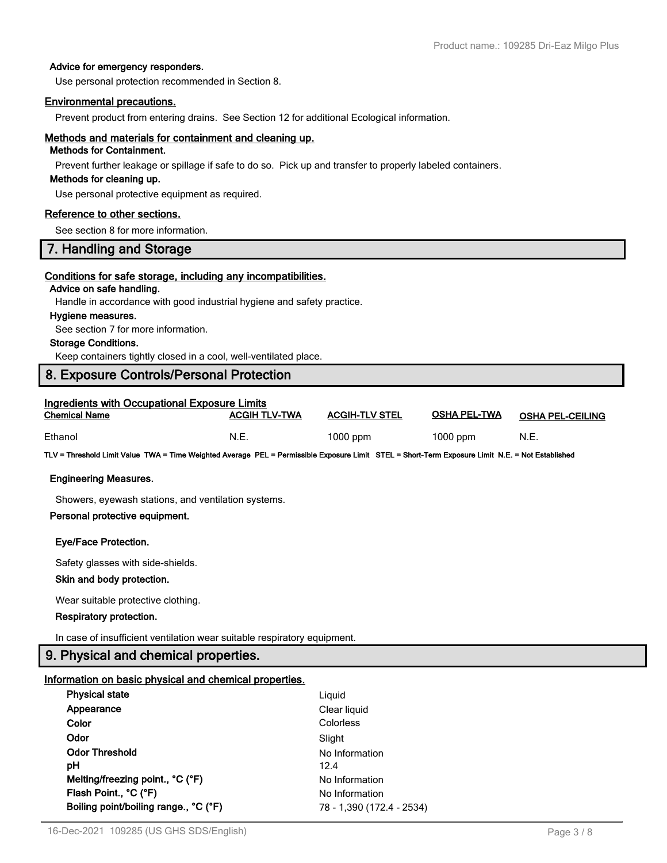#### **Advice for emergency responders.**

Use personal protection recommended in Section 8.

#### **Environmental precautions.**

Prevent product from entering drains. See Section 12 for additional Ecological information.

# **Methods and materials for containment and cleaning up.**

# **Methods for Containment.**

Prevent further leakage or spillage if safe to do so. Pick up and transfer to properly labeled containers.

#### **Methods for cleaning up.**

Use personal protective equipment as required.

#### **Reference to other sections.**

See section 8 for more information.

# **7. Handling and Storage**

#### **Conditions for safe storage, including any incompatibilities.**

# **Advice on safe handling.**

Handle in accordance with good industrial hygiene and safety practice.

#### **Hygiene measures.**

See section 7 for more information.

#### **Storage Conditions.**

Keep containers tightly closed in a cool, well-ventilated place.

# **8. Exposure Controls/Personal Protection**

| <b>Ingredients with Occupational Exposure Limits</b> |                      |                       |                     |                         |
|------------------------------------------------------|----------------------|-----------------------|---------------------|-------------------------|
| <b>Chemical Name</b>                                 | <b>ACGIH TLV-TWA</b> | <b>ACGIH-TLV STEL</b> | <b>OSHA PEL-TWA</b> | <b>OSHA PEL-CEILING</b> |
| Ethanol                                              | N.E.                 | $1000$ ppm            | $1000$ ppm          | N.E.                    |

**TLV = Threshold Limit Value TWA = Time Weighted Average PEL = Permissible Exposure Limit STEL = Short-Term Exposure Limit N.E. = Not Established**

#### **Engineering Measures.**

Showers, eyewash stations, and ventilation systems.

#### **Personal protective equipment.**

#### **Eye/Face Protection.**

Safety glasses with side-shields.

#### **Skin and body protection.**

Wear suitable protective clothing.

#### **Respiratory protection.**

In case of insufficient ventilation wear suitable respiratory equipment.

# **9. Physical and chemical properties.**

#### **Information on basic physical and chemical properties.**

| Liguid                    |
|---------------------------|
| Clear liquid              |
| Colorless                 |
| Slight                    |
| No Information            |
| 12.4                      |
| No Information            |
| No Information            |
| 78 - 1,390 (172.4 - 2534) |
|                           |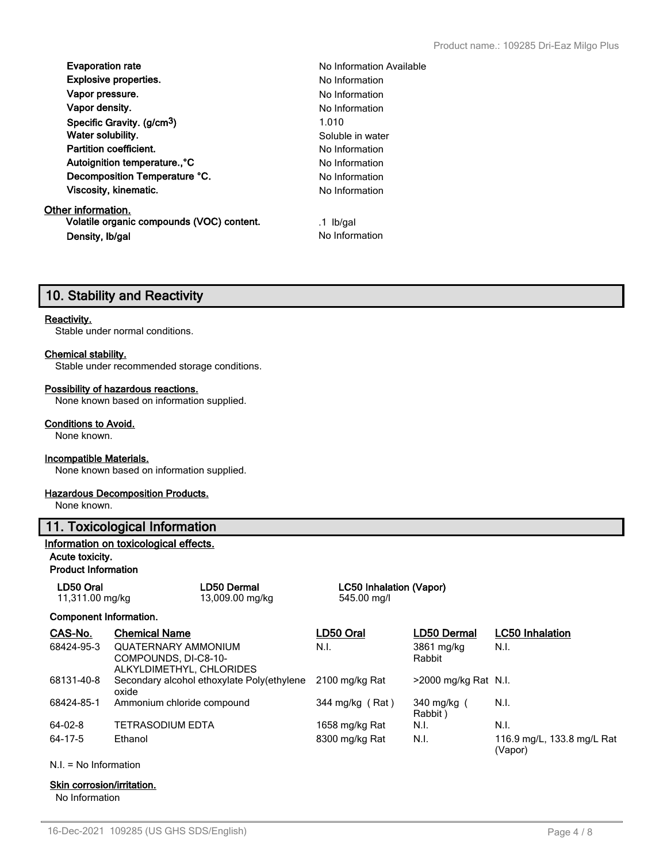| <b>Evaporation rate</b>                | No Ini |
|----------------------------------------|--------|
| <b>Explosive properties.</b>           | No Int |
| Vapor pressure.                        | No Int |
| Vapor density.                         | No Int |
| Specific Gravity. (g/cm <sup>3</sup> ) | 1.010  |
| Water solubility.                      | Solub  |
| <b>Partition coefficient.</b>          | No Int |
| Autoignition temperature°C             | No Int |
| Decomposition Temperature °C.          | No Int |
| Viscosity, kinematic.                  | No Ini |
|                                        |        |

**Other information. Volatile organic compounds (VOC) content.** .1 lb/gal **Density, Ib/gal** No Information

**No Information Available Explosive properties.** No Information **No Information No Information** Soluble in water **No Information No Information No Information No Information** 

# **10. Stability and Reactivity**

#### **Reactivity.**

Stable under normal conditions.

#### **Chemical stability.**

Stable under recommended storage conditions.

#### **Possibility of hazardous reactions.**

None known based on information supplied.

#### **Conditions to Avoid.**

None known.

#### **Incompatible Materials.**

None known based on information supplied.

#### **Hazardous Decomposition Products.**

None known.

#### **11. Toxicological Information**

#### **Information on toxicological effects.**

# **Acute toxicity.**

**Product Information**

| LD50 Oral       | <b>LD50 Dermal</b> |  |
|-----------------|--------------------|--|
| 11,311.00 mg/kg | 13,009.00 mg/kg    |  |

#### **Component Information.**

| CAS-No.       | <b>Chemical Name</b>                                                           | LD50 Oral       | <b>LD50 Dermal</b>      | <b>LC50</b> Inhalation                |
|---------------|--------------------------------------------------------------------------------|-----------------|-------------------------|---------------------------------------|
| 68424-95-3    | <b>QUATERNARY AMMONIUM</b><br>COMPOUNDS, DI-C8-10-<br>ALKYLDIMETHYL, CHLORIDES | N.I.            | 3861 mg/kg<br>Rabbit    | N.I.                                  |
| 68131-40-8    | Secondary alcohol ethoxylate Poly(ethylene<br>oxide                            | 2100 mg/kg Rat  | $>$ 2000 mg/kg Rat N.I. |                                       |
| 68424-85-1    | Ammonium chloride compound                                                     | 344 mg/kg (Rat) | 340 mg/kg (<br>Rabbit)  | N.I.                                  |
| $64 - 02 - 8$ | TETRASODIUM EDTA                                                               | 1658 mg/kg Rat  | N.I.                    | N.I.                                  |
| 64-17-5       | Ethanol                                                                        | 8300 mg/kg Rat  | N.I.                    | 116.9 mg/L, 133.8 mg/L Rat<br>(Vapor) |

**LC50 Inhalation (Vapor)** 

545.00 mg/l

N.I. = No Information

#### **Skin corrosion/irritation.**

No Information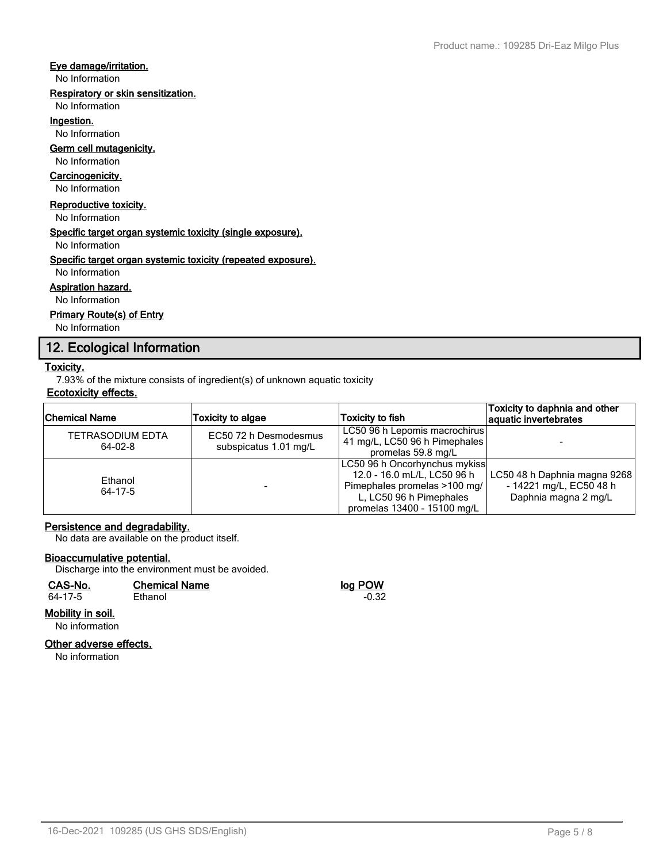### **Eye damage/irritation.**

No Information

### **Respiratory or skin sensitization.**

No Information

**Ingestion.**

No Information

# **Germ cell mutagenicity.**

# No Information

# **Carcinogenicity.**

No Information

### **Reproductive toxicity.**

No Information

#### **Specific target organ systemic toxicity (single exposure).**

No Information

### **Specific target organ systemic toxicity (repeated exposure).**

No Information

### **Aspiration hazard.**

No Information

# **Primary Route(s) of Entry**

No Information

# **12. Ecological Information**

# **Toxicity.**

7.93% of the mixture consists of ingredient(s) of unknown aquatic toxicity

### **Ecotoxicity effects.**

| <b>Chemical Name</b>                 | <b>Toxicity to algae</b>                       | <b>Toxicity to fish</b>                                                                                                                                | Toxicity to daphnia and other<br>aquatic invertebrates                          |
|--------------------------------------|------------------------------------------------|--------------------------------------------------------------------------------------------------------------------------------------------------------|---------------------------------------------------------------------------------|
| <b>TETRASODIUM EDTA</b><br>$64-02-8$ | EC50 72 h Desmodesmus<br>subspicatus 1.01 mg/L | LC50 96 h Lepomis macrochirus<br>41 mg/L, LC50 96 h Pimephales<br>promelas 59.8 mg/L                                                                   |                                                                                 |
| Ethanol<br>64-17-5                   |                                                | LC50 96 h Oncorhynchus mykiss<br>12.0 - 16.0 mL/L, LC50 96 h<br>Pimephales promelas >100 mg/<br>L, LC50 96 h Pimephales<br>promelas 13400 - 15100 mg/L | LC50 48 h Daphnia magna 9268<br>- 14221 mg/L, EC50 48 h<br>Daphnia magna 2 mg/L |

### **Persistence and degradability.**

No data are available on the product itself.

### **Bioaccumulative potential.**

Discharge into the environment must be avoided.

| CAS-No. | <b>Chemical Name</b> | log POW |
|---------|----------------------|---------|
| 64-17-5 | Ethanol              | $-0.32$ |
|         |                      |         |

# **Mobility in soil.**

No information

# **Other adverse effects.**

No information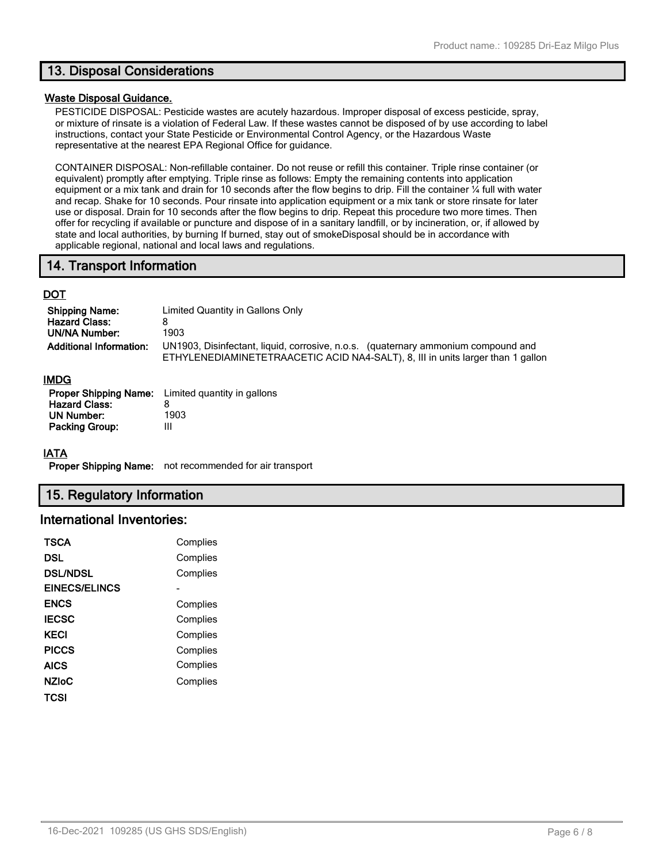# **13. Disposal Considerations**

#### **Waste Disposal Guidance.**

PESTICIDE DISPOSAL: Pesticide wastes are acutely hazardous. Improper disposal of excess pesticide, spray, or mixture of rinsate is a violation of Federal Law. If these wastes cannot be disposed of by use according to label instructions, contact your State Pesticide or Environmental Control Agency, or the Hazardous Waste representative at the nearest EPA Regional Office for guidance.

CONTAINER DISPOSAL: Non-refillable container. Do not reuse or refill this container. Triple rinse container (or equivalent) promptly after emptying. Triple rinse as follows: Empty the remaining contents into application equipment or a mix tank and drain for 10 seconds after the flow begins to drip. Fill the container ¼ full with water and recap. Shake for 10 seconds. Pour rinsate into application equipment or a mix tank or store rinsate for later use or disposal. Drain for 10 seconds after the flow begins to drip. Repeat this procedure two more times. Then offer for recycling if available or puncture and dispose of in a sanitary landfill, or by incineration, or, if allowed by state and local authorities, by burning If burned, stay out of smokeDisposal should be in accordance with applicable regional, national and local laws and regulations.

# **14. Transport Information**

# **DOT**

| <b>Shipping Name:</b><br><b>Hazard Class:</b><br>UN/NA Number: | Limited Quantity in Gallons Only<br>1903                                                                                                                             |
|----------------------------------------------------------------|----------------------------------------------------------------------------------------------------------------------------------------------------------------------|
| <b>Additional Information:</b>                                 | UN1903, Disinfectant, liquid, corrosive, n.o.s. (quaternary ammonium compound and<br>ETHYLENEDIAMINETETRAACETIC ACID NA4-SALT), 8, III in units larger than 1 gallon |

#### **IMDG**

|                       | <b>Proper Shipping Name:</b> Limited quantity in gallons |
|-----------------------|----------------------------------------------------------|
| <b>Hazard Class:</b>  | 8                                                        |
| UN Number:            | 1903                                                     |
| <b>Packing Group:</b> | Ш                                                        |

#### **IATA**

**Proper Shipping Name:** not recommended for air transport

# **15. Regulatory Information**

# **International Inventories:**

| <b>TSCA</b>     | Complies |
|-----------------|----------|
| DSL             | Complies |
| <b>DSL/NDSL</b> | Complies |
| EINECS/ELINCS   |          |
| <b>ENCS</b>     | Complies |
| <b>IECSC</b>    | Complies |
| <b>KECI</b>     | Complies |
| <b>PICCS</b>    | Complies |
| <b>AICS</b>     | Complies |
| <b>NZIoC</b>    | Complies |
| TCSI            |          |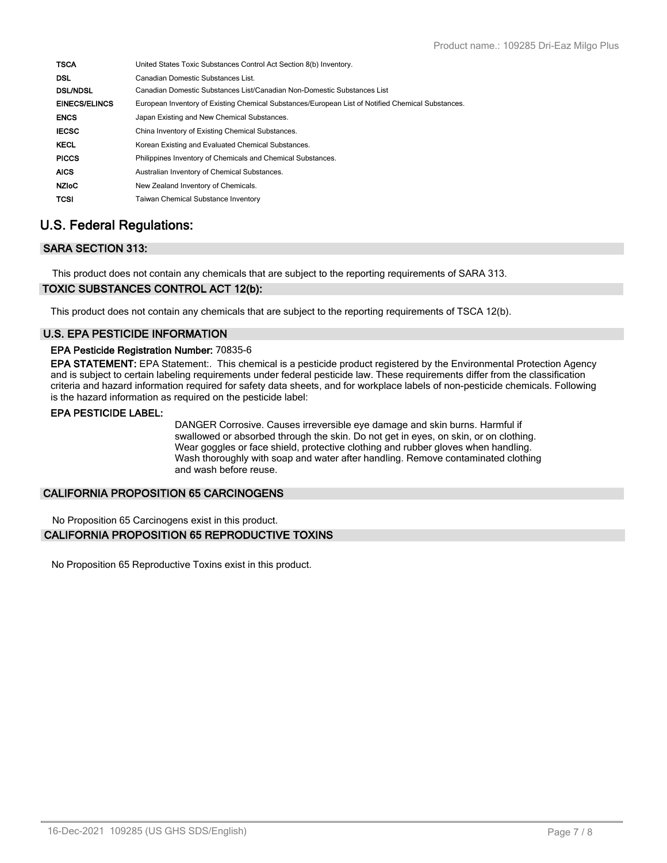| <b>TSCA</b>          | United States Toxic Substances Control Act Section 8(b) Inventory.                                |
|----------------------|---------------------------------------------------------------------------------------------------|
| <b>DSL</b>           | Canadian Domestic Substances List.                                                                |
| <b>DSL/NDSL</b>      | Canadian Domestic Substances List/Canadian Non-Domestic Substances List                           |
| <b>EINECS/ELINCS</b> | European Inventory of Existing Chemical Substances/European List of Notified Chemical Substances. |
| <b>ENCS</b>          | Japan Existing and New Chemical Substances.                                                       |
| <b>IECSC</b>         | China Inventory of Existing Chemical Substances.                                                  |
| <b>KECL</b>          | Korean Existing and Evaluated Chemical Substances.                                                |
| <b>PICCS</b>         | Philippines Inventory of Chemicals and Chemical Substances.                                       |
| <b>AICS</b>          | Australian Inventory of Chemical Substances.                                                      |
| <b>NZIOC</b>         | New Zealand Inventory of Chemicals.                                                               |
| <b>TCSI</b>          | <b>Taiwan Chemical Substance Inventory</b>                                                        |

# **U.S. Federal Regulations:**

# **SARA SECTION 313:**

This product does not contain any chemicals that are subject to the reporting requirements of SARA 313.

# **TOXIC SUBSTANCES CONTROL ACT 12(b):**

This product does not contain any chemicals that are subject to the reporting requirements of TSCA 12(b).

# **U.S. EPA PESTICIDE INFORMATION**

### **EPA Pesticide Registration Number:** 70835-6

**EPA STATEMENT:** EPA Statement:. This chemical is a pesticide product registered by the Environmental Protection Agency and is subject to certain labeling requirements under federal pesticide law. These requirements differ from the classification criteria and hazard information required for safety data sheets, and for workplace labels of non-pesticide chemicals. Following is the hazard information as required on the pesticide label:

### **EPA PESTICIDE LABEL:**

DANGER Corrosive. Causes irreversible eye damage and skin burns. Harmful if swallowed or absorbed through the skin. Do not get in eyes, on skin, or on clothing. Wear goggles or face shield, protective clothing and rubber gloves when handling. Wash thoroughly with soap and water after handling. Remove contaminated clothing and wash before reuse.

# **CALIFORNIA PROPOSITION 65 CARCINOGENS**

No Proposition 65 Carcinogens exist in this product.

# **CALIFORNIA PROPOSITION 65 REPRODUCTIVE TOXINS**

No Proposition 65 Reproductive Toxins exist in this product.